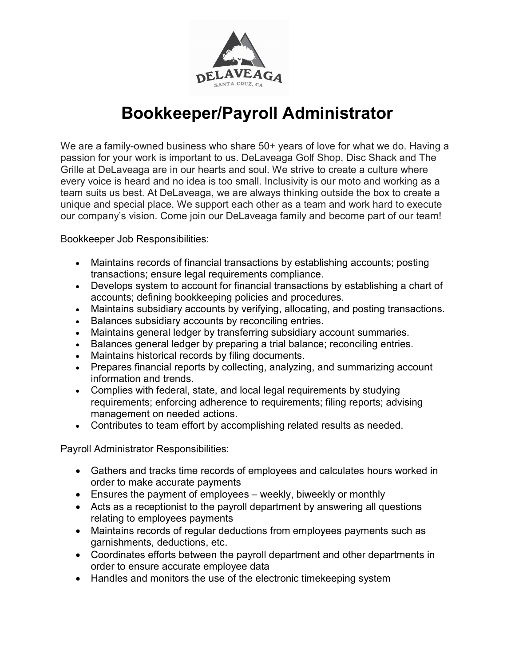

## Bookkeeper/Payroll Administrator

We are a family-owned business who share 50+ years of love for what we do. Having a passion for your work is important to us. DeLaveaga Golf Shop, Disc Shack and The Grille at DeLaveaga are in our hearts and soul. We strive to create a culture where every voice is heard and no idea is too small. Inclusivity is our moto and working as a team suits us best. At DeLaveaga, we are always thinking outside the box to create a unique and special place. We support each other as a team and work hard to execute our company's vision. Come join our DeLaveaga family and become part of our team!

Bookkeeper Job Responsibilities:

- Maintains records of financial transactions by establishing accounts; posting transactions; ensure legal requirements compliance.
- Develops system to account for financial transactions by establishing a chart of accounts; defining bookkeeping policies and procedures.
- Maintains subsidiary accounts by verifying, allocating, and posting transactions.
- Balances subsidiary accounts by reconciling entries.
- Maintains general ledger by transferring subsidiary account summaries.
- Balances general ledger by preparing a trial balance; reconciling entries.
- Maintains historical records by filing documents.
- Prepares financial reports by collecting, analyzing, and summarizing account information and trends.
- Complies with federal, state, and local legal requirements by studying requirements; enforcing adherence to requirements; filing reports; advising management on needed actions.
- Contributes to team effort by accomplishing related results as needed.

Payroll Administrator Responsibilities:

- Gathers and tracks time records of employees and calculates hours worked in order to make accurate payments
- Ensures the payment of employees weekly, biweekly or monthly
- Acts as a receptionist to the payroll department by answering all questions relating to employees payments
- Maintains records of regular deductions from employees payments such as garnishments, deductions, etc.
- Coordinates efforts between the payroll department and other departments in order to ensure accurate employee data
- Handles and monitors the use of the electronic timekeeping system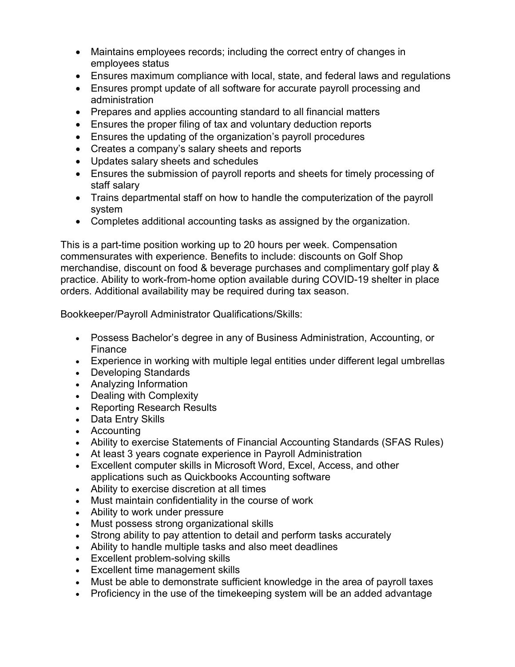- Maintains employees records; including the correct entry of changes in employees status
- Ensures maximum compliance with local, state, and federal laws and regulations
- Ensures prompt update of all software for accurate payroll processing and administration
- Prepares and applies accounting standard to all financial matters
- Ensures the proper filing of tax and voluntary deduction reports
- Ensures the updating of the organization's payroll procedures
- Creates a company's salary sheets and reports
- Updates salary sheets and schedules
- Ensures the submission of payroll reports and sheets for timely processing of staff salary
- Trains departmental staff on how to handle the computerization of the payroll system
- Completes additional accounting tasks as assigned by the organization.

This is a part-time position working up to 20 hours per week. Compensation commensurates with experience. Benefits to include: discounts on Golf Shop merchandise, discount on food & beverage purchases and complimentary golf play & practice. Ability to work-from-home option available during COVID-19 shelter in place orders. Additional availability may be required during tax season.

Bookkeeper/Payroll Administrator Qualifications/Skills:

- Possess Bachelor's degree in any of Business Administration, Accounting, or Finance
- Experience in working with multiple legal entities under different legal umbrellas
- Developing Standards
- Analyzing Information
- Dealing with Complexity
- Reporting Research Results
- Data Entry Skills
- Accounting
- Ability to exercise Statements of Financial Accounting Standards (SFAS Rules)
- At least 3 years cognate experience in Payroll Administration
- Excellent computer skills in Microsoft Word, Excel, Access, and other applications such as Quickbooks Accounting software
- Ability to exercise discretion at all times
- Must maintain confidentiality in the course of work
- Ability to work under pressure
- Must possess strong organizational skills
- Strong ability to pay attention to detail and perform tasks accurately
- Ability to handle multiple tasks and also meet deadlines
- Excellent problem-solving skills
- Excellent time management skills
- Must be able to demonstrate sufficient knowledge in the area of payroll taxes
- Proficiency in the use of the timekeeping system will be an added advantage